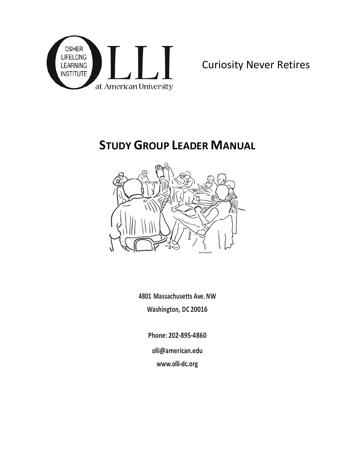

# **STUDY GROUP LEADER MANUAL**



**4801 Massachusetts Ave. NW Washington, DC 20016**

**Phone: 202-895-4860**

**olli@american.edu** 

**[www.olli-dc.org](http://www.olli-dc.org/)**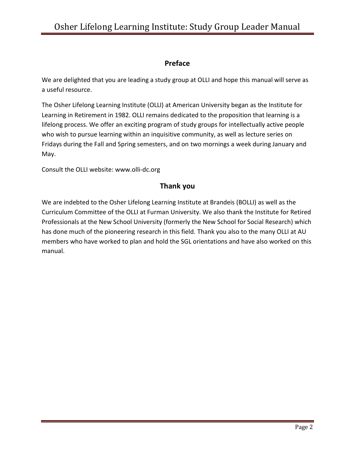# **Preface**

We are delighted that you are leading a study group at OLLI and hope this manual will serve as a useful resource.

The Osher Lifelong Learning Institute (OLLI) at American University began as the Institute for Learning in Retirement in 1982. OLLI remains dedicated to the proposition that learning is a lifelong process. We offer an exciting program of study groups for intellectually active people who wish to pursue learning within an inquisitive community, as well as lecture series on Fridays during the Fall and Spring semesters, and on two mornings a week during January and May.

Consult the OLLI website: www.olli-dc.org

# **Thank you**

We are indebted to the Osher Lifelong Learning Institute at Brandeis (BOLLI) as well as the Curriculum Committee of the OLLI at Furman University. We also thank the Institute for Retired Professionals at the New School University (formerly the New School for Social Research) which has done much of the pioneering research in this field. Thank you also to the many OLLI at AU members who have worked to plan and hold the SGL orientations and have also worked on this manual.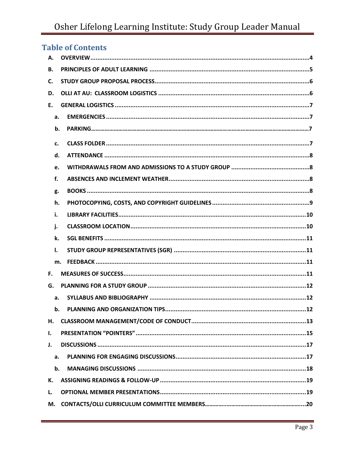# Osher Lifelong Learning Institute: Study Group Leader Manual

| <b>Table of Contents</b> |
|--------------------------|
| А.                       |
| <b>B.</b>                |
| C.                       |
| D.                       |
| E.                       |
| a.                       |
| b.                       |
| c.                       |
| d.                       |
| e.                       |
| f.                       |
| g.                       |
| h.                       |
| i.                       |
| j.                       |
| k.                       |
| Ι.                       |
| m.                       |
| F.                       |
| G.                       |
| a.                       |
| b.                       |
| н.                       |
| I.                       |
| J.                       |
| a.                       |
| b.                       |
| К.                       |
| L.                       |
| М.                       |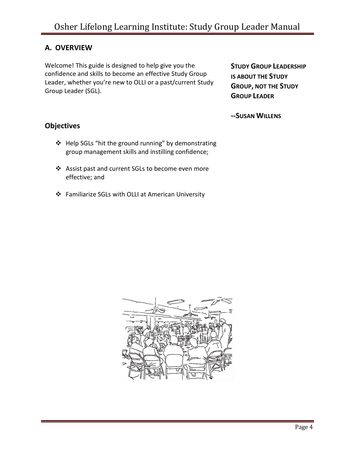# <span id="page-3-0"></span>**A. OVERVIEW**

Welcome! This guide is designed to help give you the confidence and skills to become an effective Study Group Leader, whether you're new to OLLI or a past/current Study Group Leader (SGL).

**STUDY GROUP LEADERSHIP IS ABOUT THE STUDY GROUP, NOT THE STUDY GROUP LEADER**

**--SUSAN WILLENS**

# **Objectives**

- ❖ Help SGLs "hit the ground running" by demonstrating group management skills and instilling confidence;
- ❖ Assist past and current SGLs to become even more effective; and
- ❖ Familiarize SGLs with OLLI at American University

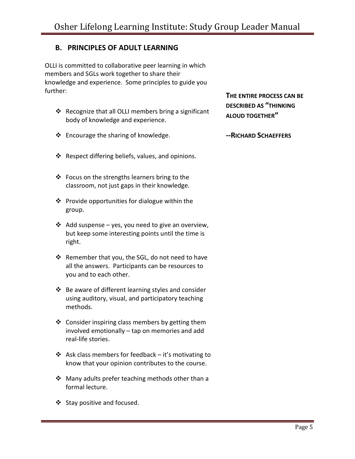# <span id="page-4-0"></span>**B. PRINCIPLES OF ADULT LEARNING**

OLLI is committed to collaborative peer learning in which members and SGLs work together to share their knowledge and experience. Some principles to guide you further: **<sup>T</sup>HE ENTIRE PROCESS CAN BE** 

- ❖ Recognize that all OLLI members bring a significant body of knowledge and experience.
- ❖ Encourage the sharing of knowledge.
- ❖ Respect differing beliefs, values, and opinions.
- ❖ Focus on the strengths learners bring to the classroom, not just gaps in their knowledge.
- ❖ Provide opportunities for dialogue within the group.
- ❖ Add suspense yes, you need to give an overview, but keep some interesting points until the time is right.
- ❖ Remember that you, the SGL, do not need to have all the answers. Participants can be resources to you and to each other.
- ❖ Be aware of different learning styles and consider using auditory, visual, and participatory teaching methods.
- ❖ Consider inspiring class members by getting them involved emotionally – tap on memories and add real-life stories.
- ❖ Ask class members for feedback  $-$  it's motivating to know that your opinion contributes to the course.
- ❖ Many adults prefer teaching methods other than a formal lecture.
- ❖ Stay positive and focused.

**DESCRIBED AS "THINKING ALOUD TOGETHER"**

**--RICHARD SCHAEFFERS**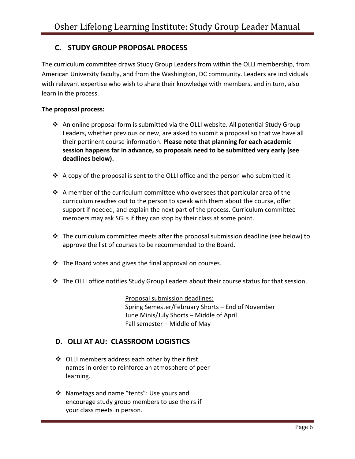# **C. STUDY GROUP PROPOSAL PROCESS**

The curriculum committee draws Study Group Leaders from within the OLLI membership, from American University faculty, and from the Washington, DC community. Leaders are individuals with relevant expertise who wish to share their knowledge with members, and in turn, also learn in the process.

#### **The proposal process:**

- ◆ An online proposal form is submitted via the OLLI website. All potential Study Group Leaders, whether previous or new, are asked to submit a proposal so that we have all their pertinent course information. **Please note that planning for each academic session happens far in advance, so proposals need to be submitted very early (see deadlines below).**
- $\triangle$  A copy of the proposal is sent to the OLLI office and the person who submitted it.
- ❖ A member of the curriculum committee who oversees that particular area of the curriculum reaches out to the person to speak with them about the course, offer support if needed, and explain the next part of the process. Curriculum committee members may ask SGLs if they can stop by their class at some point.
- $\div$  The curriculum committee meets after the proposal submission deadline (see below) to approve the list of courses to be recommended to the Board.
- ❖ The Board votes and gives the final approval on courses.
- ❖ The OLLI office notifies Study Group Leaders about their course status for that session.

Proposal submission deadlines: Spring Semester/February Shorts – End of November June Minis/July Shorts – Middle of April Fall semester – Middle of May

## <span id="page-5-0"></span>**D. OLLI AT AU: CLASSROOM LOGISTICS**

- ❖ OLLI members address each other by their first names in order to reinforce an atmosphere of peer learning.
- ❖ Nametags and name "tents": Use yours and encourage study group members to use theirs if your class meets in person.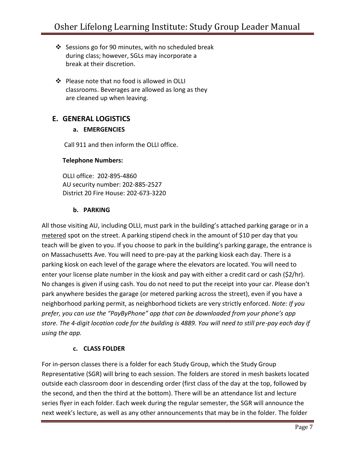- ❖ Sessions go for 90 minutes, with no scheduled break during class; however, SGLs may incorporate a break at their discretion.
- ❖ Please note that no food is allowed in OLLI classrooms. Beverages are allowed as long as they are cleaned up when leaving.

# <span id="page-6-1"></span><span id="page-6-0"></span>**E. GENERAL LOGISTICS**

## **a. EMERGENCIES**

Call 911 and then inform the OLLI office.

#### **Telephone Numbers:**

OLLI office: 202-895-4860 AU security number: 202-885-2527 District 20 Fire House: 202-673-3220

## **b. PARKING**

<span id="page-6-2"></span>All those visiting AU, including OLLI, must park in the building's attached parking garage or in a metered spot on the street. A parking stipend check in the amount of \$10 per day that you teach will be given to you. If you choose to park in the building's parking garage, the entrance is on Massachusetts Ave. You will need to pre-pay at the parking kiosk each day. There is a parking kiosk on each level of the garage where the elevators are located. You will need to enter your license plate number in the kiosk and pay with either a credit card or cash (\$2/hr). No changes is given if using cash. You do not need to put the receipt into your car. Please don't park anywhere besides the garage (or metered parking across the street), even if you have a neighborhood parking permit, as neighborhood tickets are very strictly enforced. *Note: If you prefer, you can use the "PayByPhone" app that can be downloaded from your phone's app store. The 4-digit location code for the building is 4889. You will need to still pre-pay each day if using the app.*

#### **c. CLASS FOLDER**

For in-person classes there is a folder for each Study Group, which the Study Group Representative (SGR) will bring to each session. The folders are stored in mesh baskets located outside each classroom door in descending order (first class of the day at the top, followed by the second, and then the third at the bottom). There will be an attendance list and lecture series flyer in each folder. Each week during the regular semester, the SGR will announce the next week's lecture, as well as any other announcements that may be in the folder. The folder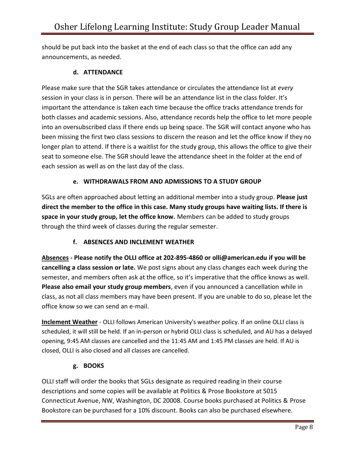should be put back into the basket at the end of each class so that the office can add any announcements, as needed.

#### **d. ATTENDANCE**

<span id="page-7-0"></span>Please make sure that the SGR takes attendance or circulates the attendance list at *every* session in your class is in person. There will be an attendance list in the class folder. It's important the attendance is taken each time because the office tracks attendance trends for both classes and academic sessions. Also, attendance records help the office to let more people into an oversubscribed class if there ends up being space. The SGR will contact anyone who has been missing the first two class sessions to discern the reason and let the office know if they no longer plan to attend. If there is a waitlist for the study group, this allows the office to give their seat to someone else. The SGR should leave the attendance sheet in the folder at the end of each session as well as on the last day of the class.

## **e. WITHDRAWALS FROM AND ADMISSIONS TO A STUDY GROUP**

<span id="page-7-1"></span>SGLs are often approached about letting an additional member into a study group. **Please just direct the member to the office in this case. Many study groups have waiting lists. If there is space in your study group, let the office know.** Members can be added to study groups through the third week of classes during the regular semester.

## **f. ABSENCES AND INCLEMENT WEATHER**

<span id="page-7-2"></span>**Absences - Please notify the OLLI office at 202-895-4860 or olli@american.edu if you will be cancelling a class session or late.** We post signs about any class changes each week during the semester, and members often ask at the office, so it's imperative that the office knows as well. **Please also email your study group members**, even if you announced a cancellation while in class, as not all class members may have been present. If you are unable to do so, please let the office know so we can send an e-mail.

**Inclement Weather** - OLLI follows American University's weather policy. If an online OLLI class is scheduled, it will still be held. If an in-person or hybrid OLLI class is scheduled, and AU has a delayed opening, 9:45 AM classes are cancelled and the 11:45 AM and 1:45 PM classes are held. If AU is closed, OLLI is also closed and all classes are cancelled.

#### **g. BOOKS**

<span id="page-7-3"></span>OLLI staff will order the books that SGLs designate as required reading in their course descriptions and some copies will be available at Politics & Prose Bookstore at 5015 Connecticut Avenue, NW, Washington, DC 20008. Course books purchased at Politics & Prose Bookstore can be purchased for a 10% discount. Books can also be purchased elsewhere.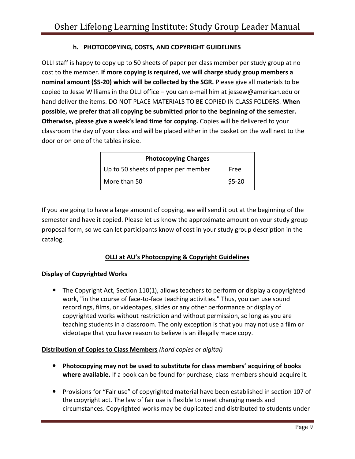## **h. PHOTOCOPYING, COSTS, AND COPYRIGHT GUIDELINES**

OLLI staff is happy to copy up to 50 sheets of paper per class member per study group at no cost to the member. **If more copying is required, we will charge study group members a nominal amount (\$5-20) which will be collected by the SGR.** Please give all materials to be copied to Jesse Williams in the OLLI office – you can e-mail him at jessew@american.edu or hand deliver the items. DO NOT PLACE MATERIALS TO BE COPIED IN CLASS FOLDERS. **When possible, we prefer that all copying be submitted prior to the beginning of the semester. Otherwise, please give a week's lead time for copying.** Copies will be delivered to your classroom the day of your class and will be placed either in the basket on the wall next to the door or on one of the tables inside.

| <b>Photocopying Charges</b>         |         |
|-------------------------------------|---------|
| Up to 50 sheets of paper per member | Free    |
| l More than 50                      | $$5-20$ |

If you are going to have a large amount of copying, we will send it out at the beginning of the semester and have it copied. Please let us know the approximate amount on your study group proposal form, so we can let participants know of cost in your study group description in the catalog.

## **OLLI at AU's Photocopying & Copyright Guidelines**

#### **Display of Copyrighted Works**

• The Copyright Act, Section 110(1), allows teachers to perform or display a copyrighted work, "in the course of face-to-face teaching activities." Thus, you can use sound recordings, films, or videotapes, slides or any other performance or display of copyrighted works without restriction and without permission, so long as you are teaching students in a classroom. The only exception is that you may not use a film or videotape that you have reason to believe is an illegally made copy.

#### **Distribution of Copies to Class Members** *(hard copies or digital)*

- **Photocopying may not be used to substitute for class members' acquiring of books where available.** If a book can be found for purchase, class members should acquire it.
- Provisions for "Fair use" of copyrighted material have been established in section 107 of the copyright act. The law of fair use is flexible to meet changing needs and circumstances. Copyrighted works may be duplicated and distributed to students under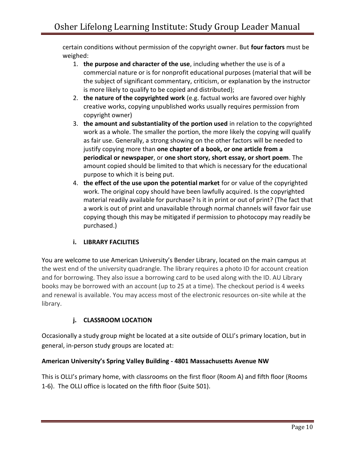certain conditions without permission of the copyright owner. But **four factors** must be weighed:

- 1. **the purpose and character of the use**, including whether the use is of a commercial nature or is for nonprofit educational purposes (material that will be the subject of significant commentary, criticism, or explanation by the instructor is more likely to qualify to be copied and distributed);
- 2. **the nature of the copyrighted work** (e.g. factual works are favored over highly creative works, copying unpublished works usually requires permission from copyright owner)
- 3. **the amount and substantiality of the portion used** in relation to the copyrighted work as a whole. The smaller the portion, the more likely the copying will qualify as fair use. Generally, a strong showing on the other factors will be needed to justify copying more than **one chapter of a book, or one article from a periodical or newspaper**, or **one short story, short essay, or short poem**. The amount copied should be limited to that which is necessary for the educational purpose to which it is being put.
- 4. **the effect of the use upon the potential market** for or value of the copyrighted work. The original copy should have been lawfully acquired. Is the copyrighted material readily available for purchase? Is it in print or out of print? (The fact that a work is out of print and unavailable through normal channels will favor fair use copying though this may be mitigated if permission to photocopy may readily be purchased.)

## **i. LIBRARY FACILITIES**

<span id="page-9-0"></span>You are welcome to use American University's Bender Library, located on the main campus at the west end of the university quadrangle. The library requires a photo ID for account creation and for borrowing. They also issue a borrowing card to be used along with the ID. AU Library books may be borrowed with an account (up to 25 at a time). The checkout period is 4 weeks and renewal is available. You may access most of the electronic resources on-site while at the library.

# **j. CLASSROOM LOCATION**

<span id="page-9-1"></span>Occasionally a study group might be located at a site outside of OLLI's primary location, but in general, in-person study groups are located at:

## **American University's Spring Valley Building - 4801 Massachusetts Avenue NW**

This is OLLI's primary home, with classrooms on the first floor (Room A) and fifth floor (Rooms 1-6). The OLLI office is located on the fifth floor (Suite 501).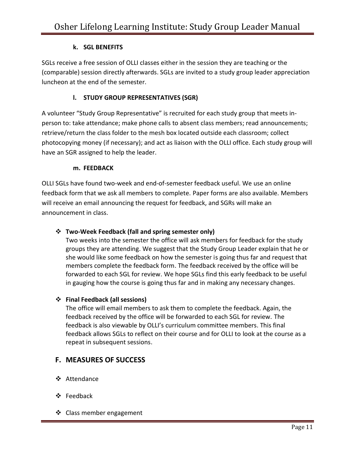## **k. SGL BENEFITS**

<span id="page-10-0"></span>SGLs receive a free session of OLLI classes either in the session they are teaching or the (comparable) session directly afterwards. SGLs are invited to a study group leader appreciation luncheon at the end of the semester.

## **l. STUDY GROUP REPRESENTATIVES (SGR)**

<span id="page-10-1"></span>A volunteer "Study Group Representative" is recruited for each study group that meets inperson to: take attendance; make phone calls to absent class members; read announcements; retrieve/return the class folder to the mesh box located outside each classroom; collect photocopying money (if necessary); and act as liaison with the OLLI office. Each study group will have an SGR assigned to help the leader.

#### **m. FEEDBACK**

<span id="page-10-2"></span>OLLI SGLs have found two-week and end-of-semester feedback useful. We use an online feedback form that we ask all members to complete. Paper forms are also available. Members will receive an email announcing the request for feedback, and SGRs will make an announcement in class.

## ❖ **Two-Week Feedback (fall and spring semester only)**

Two weeks into the semester the office will ask members for feedback for the study groups they are attending. We suggest that the Study Group Leader explain that he or she would like some feedback on how the semester is going thus far and request that members complete the feedback form. The feedback received by the office will be forwarded to each SGL for review. We hope SGLs find this early feedback to be useful in gauging how the course is going thus far and in making any necessary changes.

#### ❖ **Final Feedback (all sessions)**

The office will email members to ask them to complete the feedback. Again, the feedback received by the office will be forwarded to each SGL for review. The feedback is also viewable by OLLI's curriculum committee members. This final feedback allows SGLs to reflect on their course and for OLLI to look at the course as a repeat in subsequent sessions.

# **F. MEASURES OF SUCCESS**

- ❖ Attendance
- ❖ Feedback
- ❖ Class member engagement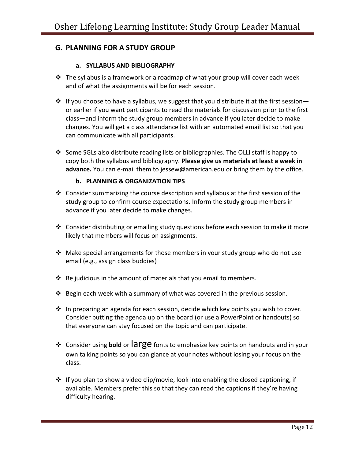# **G. PLANNING FOR A STUDY GROUP**

#### **a. SYLLABUS AND BIBLIOGRAPHY**

- <span id="page-11-0"></span>❖ The syllabus is a framework or a roadmap of what your group will cover each week and of what the assignments will be for each session.
- $\dots$  If you choose to have a syllabus, we suggest that you distribute it at the first session or earlier if you want participants to read the materials for discussion prior to the first class—and inform the study group members in advance if you later decide to make changes. You will get a class attendance list with an automated email list so that you can communicate with all participants.
- ❖ Some SGLs also distribute reading lists or bibliographies. The OLLI staff is happy to copy both the syllabus and bibliography. **Please give us materials at least a week in advance.** You can e-mail them to jessew@american.edu or bring them by the office.

#### **b. PLANNING & ORGANIZATION TIPS**

- ◆ Consider summarizing the course description and syllabus at the first session of the study group to confirm course expectations. Inform the study group members in advance if you later decide to make changes.
- ❖ Consider distributing or emailing study questions before each session to make it more likely that members will focus on assignments.
- ❖ Make special arrangements for those members in your study group who do not use email (e.g., assign class buddies)
- $\cdot \cdot$  Be judicious in the amount of materials that you email to members.
- **❖** Begin each week with a summary of what was covered in the previous session.
- ❖ In preparing an agenda for each session, decide which key points you wish to cover. Consider putting the agenda up on the board (or use a PowerPoint or handouts) so that everyone can stay focused on the topic and can participate.
- ❖ Consider using **bold** or large fonts to emphasize key points on handouts and in your own talking points so you can glance at your notes without losing your focus on the class.
- $\dots$  If you plan to show a video clip/movie, look into enabling the closed captioning, if available. Members prefer this so that they can read the captions if they're having difficulty hearing.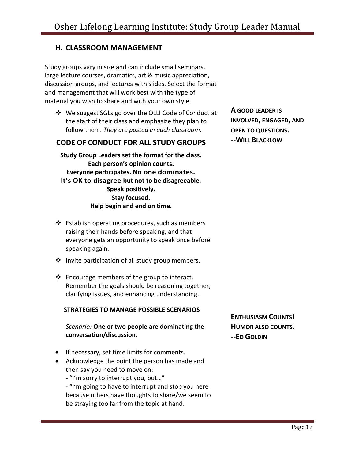# **H. CLASSROOM MANAGEMENT**

Study groups vary in size and can include small seminars, large lecture courses, dramatics, art & music appreciation, discussion groups, and lectures with slides. Select the format and management that will work best with the type of material you wish to share and with your own style.

❖ We suggest SGLs go over the OLLI Code of Conduct at the start of their class and emphasize they plan to follow them. *They are posted in each classroom.*

#### **CODE OF CONDUCT FOR ALL STUDY GROUPS**

**Study Group Leaders set the format for the class. Each person's opinion counts. Everyone participates. No one dominates. It's OK to disagree but not to be disagreeable. Speak positively. Stay focused. Help begin and end on time.**

- ❖ Establish operating procedures, such as members raising their hands before speaking, and that everyone gets an opportunity to speak once before speaking again.
- ❖ Invite participation of all study group members.
- ❖ Encourage members of the group to interact. Remember the goals should be reasoning together, clarifying issues, and enhancing understanding.

#### **STRATEGIES TO MANAGE POSSIBLE SCENARIOS**

#### *Scenario:* **One or two people are dominating the conversation/discussion.**

- If necessary, set time limits for comments.
- Acknowledge the point the person has made and then say you need to move on:
	- "I'm sorry to interrupt you, but…"

- "I'm going to have to interrupt and stop you here because others have thoughts to share/we seem to be straying too far from the topic at hand.

**A GOOD LEADER IS INVOLVED, ENGAGED, AND OPEN TO QUESTIONS. --WILL BLACKLOW**

**ENTHUSIASM COUNTS! HUMOR ALSO COUNTS. --ED GOLDIN**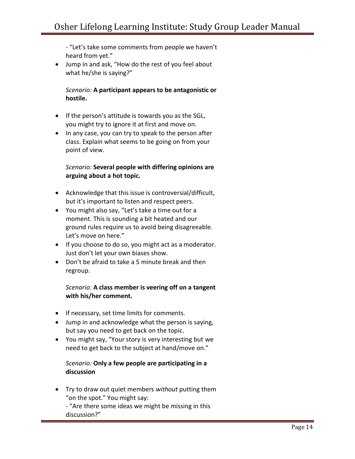- "Let's take some comments from people we haven't heard from yet."

• Jump in and ask, "How do the rest of you feel about what he/she is saying?"

*Scenario:* **A participant appears to be antagonistic or hostile.** 

- If the person's attitude is towards you as the SGL, you might try to ignore it at first and move on.
- In any case, you can try to speak to the person after class. Explain what seems to be going on from your point of view.

#### *Scenario:* **Several people with differing opinions are arguing about a hot topic.**

- Acknowledge that this issue is controversial/difficult, but it's important to listen and respect peers.
- You might also say, "Let's take a time out for a moment. This is sounding a bit heated and our ground rules require us to avoid being disagreeable. Let's move on here."
- If you choose to do so, you might act as a moderator. Just don't let your own biases show.
- Don't be afraid to take a 5 minute break and then regroup.

#### *Scenario:* **A class member is veering off on a tangent with his/her comment.**

- If necessary, set time limits for comments.
- Jump in and acknowledge what the person is saying, but say you need to get back on the topic.
- You might say, "Your story is very interesting but we need to get back to the subject at hand/move on."

## *Scenario:* **Only a few people are participating in a discussion**

- Try to draw out quiet members *without* putting them "on the spot." You might say:
	- "Are there some ideas we might be missing in this discussion?"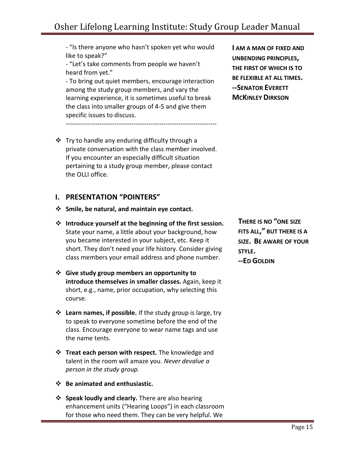- "Is there anyone who hasn't spoken yet who would like to speak?"

- "Let's take comments from people we haven't heard from yet."

- To bring out quiet members, encourage interaction among the study group members, and vary the learning experience, it is sometimes useful to break the class into smaller groups of 4-5 and give them specific issues to discuss. -----------------------------------------------------------------------

❖ Try to handle any enduring difficulty through a private conversation with the class member involved. If you encounter an especially difficult situation pertaining to a study group member, please contact the OLLI office.

## <span id="page-14-0"></span>**I. PRESENTATION "POINTERS"**

- ❖ **Smile, be natural, and maintain eye contact.**
- ❖ **Introduce yourself at the beginning of the first session.** State your name, a little about your background, how you became interested in your subject, etc. Keep it short. They don't need your life history. Consider giving class members your email address and phone number.
- ❖ **Give study group members an opportunity to introduce themselves in smaller classes.** Again, keep it short, e.g., name, prior occupation, why selecting this course.
- ❖ **Learn names, if possible.** If the study group is large, try to speak to everyone sometime before the end of the class. Encourage everyone to wear name tags and use the name tents.
- ❖ **Treat each person with respect.** The knowledge and talent in the room will amaze you. *Never devalue a person in the study group.*
- ❖ **Be animated and enthusiastic.**
- ❖ **Speak loudly and clearly.** There are also hearing enhancement units ("Hearing Loops") in each classroom for those who need them. They can be very helpful. We

**I AM A MAN OF FIXED AND UNBENDING PRINCIPLES, THE FIRST OF WHICH IS TO BE FLEXIBLE AT ALL TIMES. --SENATOR EVERETT MCKINLEY DIRKSON**

**THERE IS NO "ONE SIZE FITS ALL," BUT THERE IS A SIZE. BE AWARE OF YOUR STYLE. --ED GOLDIN**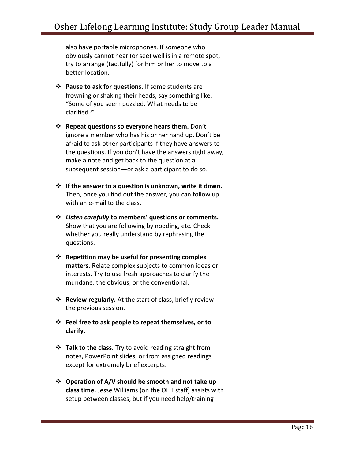also have portable microphones. If someone who obviously cannot hear (or see) well is in a remote spot, try to arrange (tactfully) for him or her to move to a better location.

- ❖ **Pause to ask for questions.** If some students are frowning or shaking their heads, say something like, "Some of you seem puzzled. What needs to be clarified?"
- ❖ **Repeat questions so everyone hears them.** Don't ignore a member who has his or her hand up. Don't be afraid to ask other participants if they have answers to the questions. If you don't have the answers right away, make a note and get back to the question at a subsequent session—or ask a participant to do so.
- ❖ **If the answer to a question is unknown, write it down.** Then, once you find out the answer, you can follow up with an e-mail to the class.
- ❖ *Listen carefully* **to members' questions or comments.** Show that you are following by nodding, etc. Check whether you really understand by rephrasing the questions.
- ❖ **Repetition may be useful for presenting complex matters.** Relate complex subjects to common ideas or interests. Try to use fresh approaches to clarify the mundane, the obvious, or the conventional.
- ❖ **Review regularly.** At the start of class, briefly review the previous session.
- ❖ **Feel free to ask people to repeat themselves, or to clarify.**
- ❖ **Talk to the class.** Try to avoid reading straight from notes, PowerPoint slides, or from assigned readings except for extremely brief excerpts.
- ❖ **Operation of A/V should be smooth and not take up class time.** Jesse Williams (on the OLLI staff) assists with setup between classes, but if you need help/training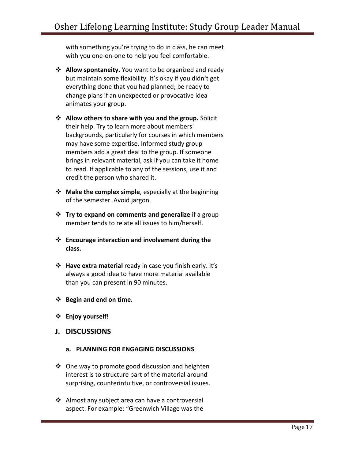with something you're trying to do in class, he can meet with you one-on-one to help you feel comfortable.

- ❖ **Allow spontaneity.** You want to be organized and ready but maintain some flexibility. It's okay if you didn't get everything done that you had planned; be ready to change plans if an unexpected or provocative idea animates your group.
- ❖ **Allow others to share with you and the group.** Solicit their help. Try to learn more about members' backgrounds, particularly for courses in which members may have some expertise. Informed study group members add a great deal to the group. If someone brings in relevant material, ask if you can take it home to read. If applicable to any of the sessions, use it and credit the person who shared it.
- ❖ **Make the complex simple**, especially at the beginning of the semester. Avoid jargon.
- ❖ **Try to expand on comments and generalize** if a group member tends to relate all issues to him/herself.
- ❖ **Encourage interaction and involvement during the class.**
- ❖ **Have extra material** ready in case you finish early. It's always a good idea to have more material available than you can present in 90 minutes.
- ❖ **Begin and end on time.**
- ❖ **Enjoy yourself!**
- **J. DISCUSSIONS**

#### **a. PLANNING FOR ENGAGING DISCUSSIONS**

- ❖ One way to promote good discussion and heighten interest is to structure part of the material around surprising, counterintuitive, or controversial issues.
- ❖ Almost any subject area can have a controversial aspect. For example: "Greenwich Village was the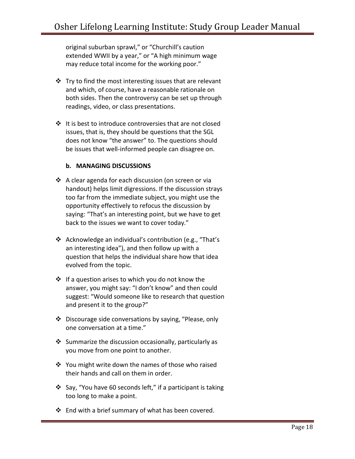original suburban sprawl," or "Churchill's caution extended WWII by a year," or "A high minimum wage may reduce total income for the working poor."

- $\cdot \cdot$  Try to find the most interesting issues that are relevant and which, of course, have a reasonable rationale on both sides. Then the controversy can be set up through readings, video, or class presentations.
- ❖ It is best to introduce controversies that are not closed issues, that is, they should be questions that the SGL does not know "the answer" to. The questions should be issues that well-informed people can disagree on.

#### **b. MANAGING DISCUSSIONS**

- ❖ A clear agenda for each discussion (on screen or via handout) helps limit digressions. If the discussion strays too far from the immediate subject, you might use the opportunity effectively to refocus the discussion by saying: "That's an interesting point, but we have to get back to the issues we want to cover today."
- ❖ Acknowledge an individual's contribution (e.g., "That's an interesting idea"), and then follow up with a question that helps the individual share how that idea evolved from the topic.
- ❖ If a question arises to which you do not know the answer, you might say: "I don't know" and then could suggest: "Would someone like to research that question and present it to the group?"
- ❖ Discourage side conversations by saying, "Please, only one conversation at a time."
- ❖ Summarize the discussion occasionally, particularly as you move from one point to another.
- ❖ You might write down the names of those who raised their hands and call on them in order.
- ❖ Say, "You have 60 seconds left," if a participant is taking too long to make a point.
- ❖ End with a brief summary of what has been covered.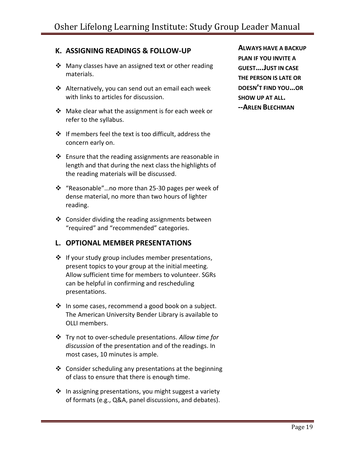# **K. ASSIGNING READINGS & FOLLOW-UP ALWAYS HAVE A BACKUP**

- ❖ Many classes have an assigned text or other reading materials.
- ❖ Alternatively, you can send out an email each week with links to articles for discussion.
- ❖ Make clear what the assignment is for each week or refer to the syllabus.
- ❖ If members feel the text is too difficult, address the concern early on.
- $\cdot \cdot$  Ensure that the reading assignments are reasonable in length and that during the next class the highlights of the reading materials will be discussed.
- ❖ "Reasonable"…no more than 25-30 pages per week of dense material, no more than two hours of lighter reading.
- ❖ Consider dividing the reading assignments between "required" and "recommended" categories.

## **L. OPTIONAL MEMBER PRESENTATIONS**

- ❖ If your study group includes member presentations, present topics to your group at the initial meeting. Allow sufficient time for members to volunteer. SGRs can be helpful in confirming and rescheduling presentations.
- ❖ In some cases, recommend a good book on a subject. The American University Bender Library is available to OLLI members.
- ❖ Try not to over-schedule presentations. *Allow time for discussion* of the presentation and of the readings. In most cases, 10 minutes is ample.
- ❖ Consider scheduling any presentations at the beginning of class to ensure that there is enough time.
- ❖ In assigning presentations, you might suggest a variety of formats (e.g., Q&A, panel discussions, and debates).

**PLAN IF YOU INVITE A GUEST….JUST IN CASE THE PERSON IS LATE OR DOESN'T FIND YOU…OR SHOW UP AT ALL. --ARLEN BLECHMAN**